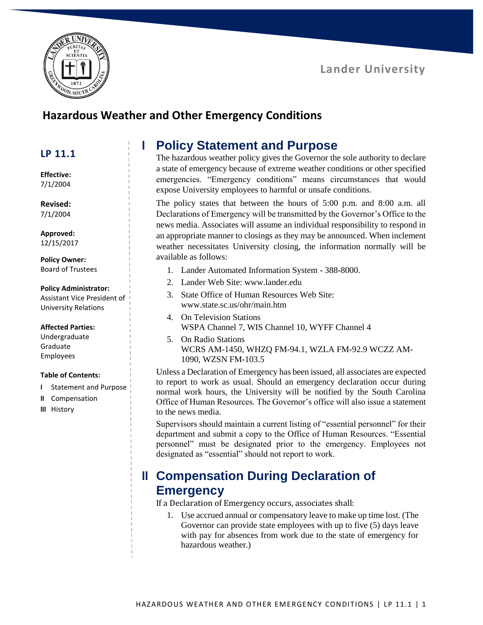



### **Hazardous Weather and Other Emergency Conditions**

### **LP 11.1**

**Effective:** 7/1/2004

**Revised:** 7/1/2004

**Approved:** 12/15/2017

**Policy Owner:** Board of Trustees

#### **Policy Administrator:**

Assistant Vice President of University Relations

#### **Affected Parties:**

Undergraduate Graduate Employees

#### **Table of Contents:**

- **I** Statement and Purpose
- **II** Compensation
- **III** History

## **I Policy Statement and Purpose**

The hazardous weather policy gives the Governor the sole authority to declare a state of emergency because of extreme weather conditions or other specified emergencies. "Emergency conditions" means circumstances that would expose University employees to harmful or unsafe conditions.

The policy states that between the hours of 5:00 p.m. and 8:00 a.m. all Declarations of Emergency will be transmitted by the Governor's Office to the news media. Associates will assume an individual responsibility to respond in an appropriate manner to closings as they may be announced. When inclement weather necessitates University closing, the information normally will be available as follows:

- 1. Lander Automated Information System 388-8000.
- 2. Lander Web Site: [www.lander.edu](http://www.lander.edu/)
- 3. State Office of Human Resources Web Site: [www.state.sc.us/ohr/main.htm](http://www.state.sc.us/ohr/main.htm)
- 4. On Television Stations WSPA Channel 7, WIS Channel 10, WYFF Channel 4
- 5. On Radio Stations WCRS AM-1450, WHZQ FM-94.1, WZLA FM-92.9 WCZZ AM-1090, WZSN FM-103.5

Unless a Declaration of Emergency has been issued, all associates are expected to report to work as usual. Should an emergency declaration occur during normal work hours, the University will be notified by the South Carolina Office of Human Resources. The Governor's office will also issue a statement to the news media.

Supervisors should maintain a current listing of "essential personnel" for their department and submit a copy to the Office of Human Resources. "Essential personnel" must be designated prior to the emergency. Employees not designated as "essential" should not report to work.

# **II Compensation During Declaration of Emergency**

If a Declaration of Emergency occurs, associates shall:

1. Use accrued annual or compensatory leave to make up time lost. (The Governor can provide state employees with up to five (5) days leave with pay for absences from work due to the state of emergency for hazardous weather.)